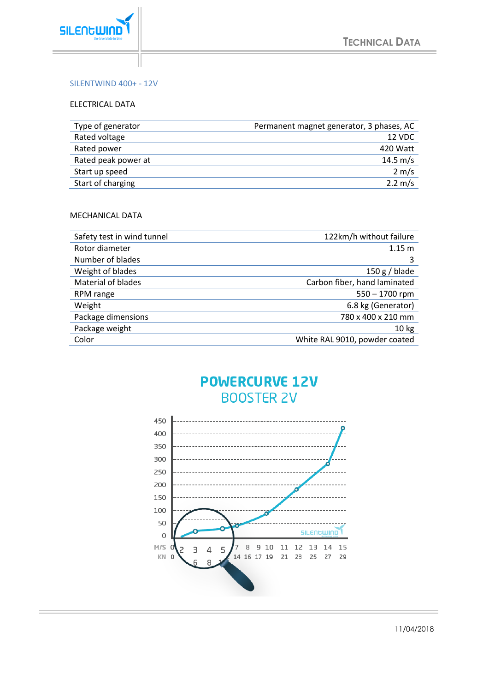

### SILENTWIND 400+ - 12V

#### ELECTRICAL DATA

| Type of generator   | Permanent magnet generator, 3 phases, AC |
|---------------------|------------------------------------------|
| Rated voltage       | 12 VDC                                   |
| Rated power         | 420 Watt                                 |
| Rated peak power at | 14.5 m/s                                 |
| Start up speed      | $2 \text{ m/s}$                          |
| Start of charging   | $2.2 \, \text{m/s}$                      |

#### MECHANICAL DATA

| Safety test in wind tunnel | 122km/h without failure       |
|----------------------------|-------------------------------|
| Rotor diameter             | 1.15 <sub>m</sub>             |
| Number of blades           | 3                             |
| Weight of blades           | $150 g$ / blade               |
| <b>Material of blades</b>  | Carbon fiber, hand laminated  |
| RPM range                  | $550 - 1700$ rpm              |
| Weight                     | 6.8 kg (Generator)            |
| Package dimensions         | 780 x 400 x 210 mm            |
| Package weight             | 10 <sub>kg</sub>              |
| Color                      | White RAL 9010, powder coated |

## **POWERCURVE 12V BOOSTER 2V**



11/04/2018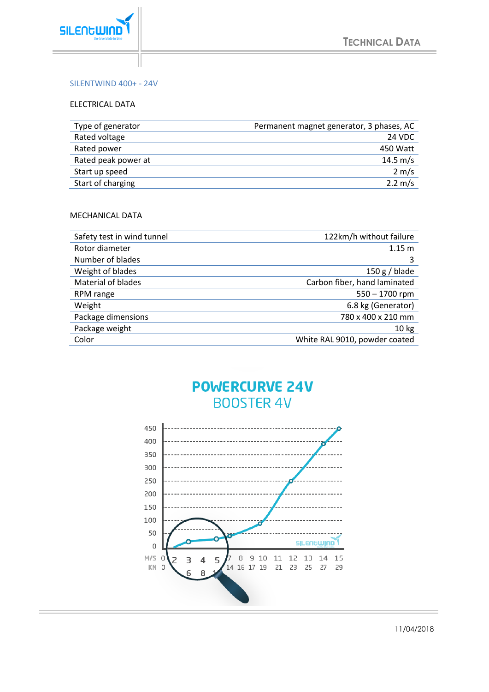

### SILENTWIND 400+ - 24V

#### ELECTRICAL DATA

| Type of generator   | Permanent magnet generator, 3 phases, AC |
|---------------------|------------------------------------------|
| Rated voltage       | 24 VDC                                   |
| Rated power         | 450 Watt                                 |
| Rated peak power at | 14.5 m/s                                 |
| Start up speed      | $2 \text{ m/s}$                          |
| Start of charging   | $2.2 \, \text{m/s}$                      |

#### MECHANICAL DATA

| Safety test in wind tunnel | 122km/h without failure       |
|----------------------------|-------------------------------|
| Rotor diameter             | 1.15 <sub>m</sub>             |
| Number of blades           | 3                             |
| Weight of blades           | $150 g/b$ lade                |
| <b>Material of blades</b>  | Carbon fiber, hand laminated  |
| RPM range                  | $550 - 1700$ rpm              |
| Weight                     | 6.8 kg (Generator)            |
| Package dimensions         | 780 x 400 x 210 mm            |
| Package weight             | 10 <sub>kg</sub>              |
| Color                      | White RAL 9010, powder coated |

# **POWERCURVE 24V BOOSTER 4V**